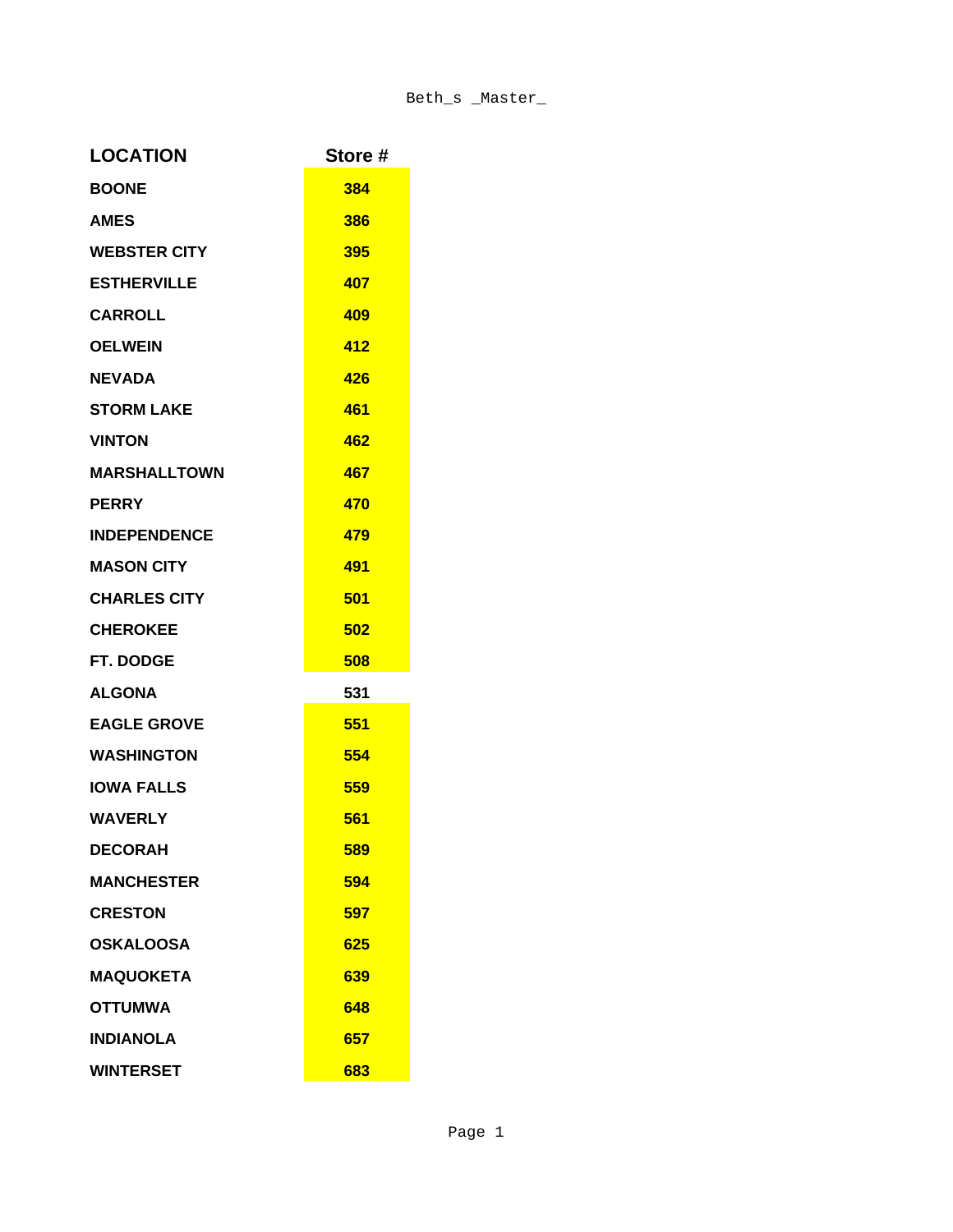| <b>LOCATION</b>     | Store # |
|---------------------|---------|
| <b>BOONE</b>        | 384     |
| <b>AMES</b>         | 386     |
| <b>WEBSTER CITY</b> | 395     |
| <b>ESTHERVILLE</b>  | 407     |
| <b>CARROLL</b>      | 409     |
| <b>OELWEIN</b>      | 412     |
| <b>NEVADA</b>       | 426     |
| <b>STORM LAKE</b>   | 461     |
| <b>VINTON</b>       | 462     |
| <b>MARSHALLTOWN</b> | 467     |
| <b>PERRY</b>        | 470     |
| <b>INDEPENDENCE</b> | 479     |
| <b>MASON CITY</b>   | 491     |
| <b>CHARLES CITY</b> | 501     |
| <b>CHEROKEE</b>     | 502     |
| <b>FT. DODGE</b>    | 508     |
| <b>ALGONA</b>       | 531     |
| <b>EAGLE GROVE</b>  | 551     |
| <b>WASHINGTON</b>   | 554     |
| <b>IOWA FALLS</b>   | 559     |
| <b>WAVERLY</b>      | 561     |
| <b>DECORAH</b>      | 589     |
| <b>MANCHESTER</b>   | 594     |
| <b>CRESTON</b>      | 597     |
| <b>OSKALOOSA</b>    | 625     |
| <b>MAQUOKETA</b>    | 639     |
| <b>OTTUMWA</b>      | 648     |
| <b>INDIANOLA</b>    | 657     |
| <b>WINTERSET</b>    | 683     |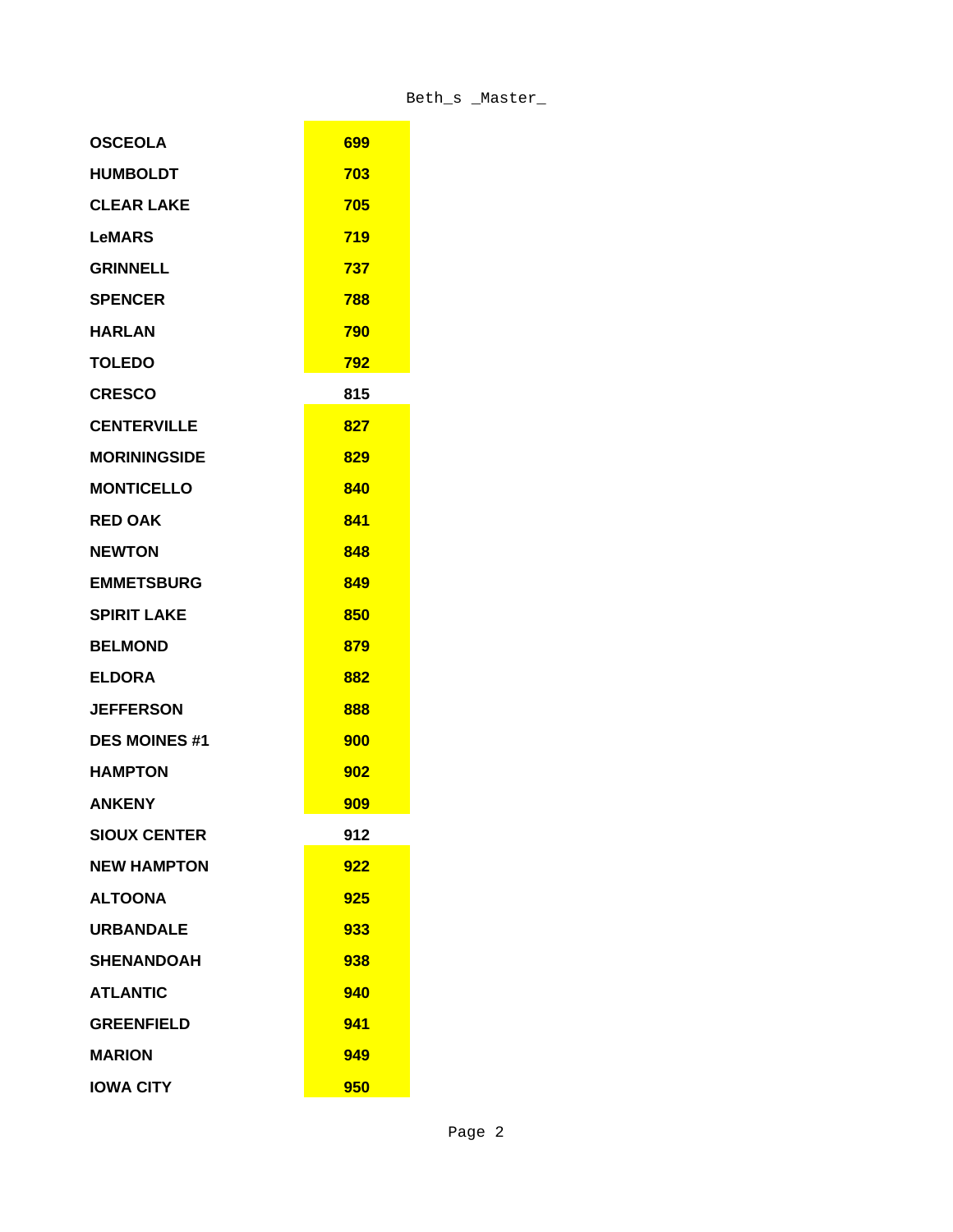| <b>OSCEOLA</b>       | 699 |
|----------------------|-----|
| <b>HUMBOLDT</b>      | 703 |
| <b>CLEAR LAKE</b>    | 705 |
| <b>LeMARS</b>        | 719 |
| <b>GRINNELL</b>      | 737 |
| <b>SPENCER</b>       | 788 |
| <b>HARLAN</b>        | 790 |
| <b>TOLEDO</b>        | 792 |
| <b>CRESCO</b>        | 815 |
| <b>CENTERVILLE</b>   | 827 |
| <b>MORININGSIDE</b>  | 829 |
| <b>MONTICELLO</b>    | 840 |
| <b>RED OAK</b>       | 841 |
| <b>NEWTON</b>        | 848 |
| <b>EMMETSBURG</b>    | 849 |
| <b>SPIRIT LAKE</b>   | 850 |
| <b>BELMOND</b>       | 879 |
| <b>ELDORA</b>        | 882 |
| <b>JEFFERSON</b>     | 888 |
| <b>DES MOINES #1</b> | 900 |
| <b>HAMPTON</b>       | 902 |
| <b>ANKENY</b>        | 909 |
| <b>SIOUX CENTER</b>  | 912 |
| <b>NEW HAMPTON</b>   | 922 |
| <b>ALTOONA</b>       | 925 |
| <b>URBANDALE</b>     | 933 |
| <b>SHENANDOAH</b>    | 938 |
| <b>ATLANTIC</b>      | 940 |
| <b>GREENFIELD</b>    | 941 |
| <b>MARION</b>        | 949 |
| <b>IOWA CITY</b>     | 950 |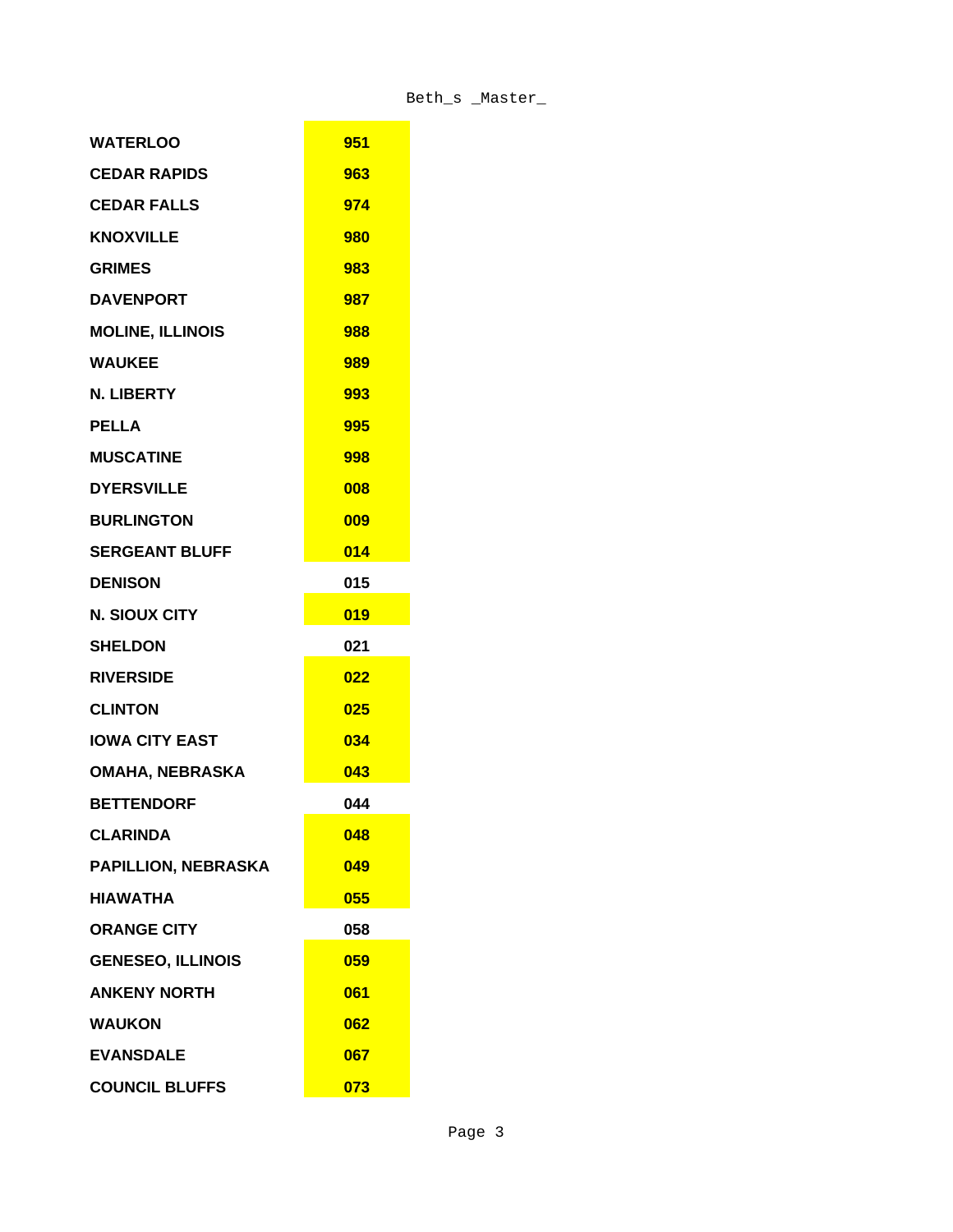| <b>WATERLOO</b>            | 951 |
|----------------------------|-----|
| <b>CEDAR RAPIDS</b>        | 963 |
| <b>CEDAR FALLS</b>         | 974 |
| <b>KNOXVILLE</b>           | 980 |
| <b>GRIMES</b>              | 983 |
| <b>DAVENPORT</b>           | 987 |
| <b>MOLINE, ILLINOIS</b>    | 988 |
| <b>WAUKEE</b>              | 989 |
| N. LIBERTY                 | 993 |
| <b>PELLA</b>               | 995 |
| <b>MUSCATINE</b>           | 998 |
| <b>DYERSVILLE</b>          | 008 |
| <b>BURLINGTON</b>          | 009 |
| <b>SERGEANT BLUFF</b>      | 014 |
| <b>DENISON</b>             | 015 |
| <b>N. SIOUX CITY</b>       | 019 |
| <b>SHELDON</b>             | 021 |
| <b>RIVERSIDE</b>           | 022 |
| <b>CLINTON</b>             | 025 |
| <b>IOWA CITY EAST</b>      | 034 |
| <b>OMAHA, NEBRASKA</b>     | 043 |
| <b>BETTENDORF</b>          | 044 |
| <b>CLARINDA</b>            | 048 |
| <b>PAPILLION, NEBRASKA</b> | 049 |
| <b>HIAWATHA</b>            | 055 |
| <b>ORANGE CITY</b>         | 058 |
| <b>GENESEO, ILLINOIS</b>   | 059 |
| <b>ANKENY NORTH</b>        | 061 |
| <b>WAUKON</b>              | 062 |
| <b>EVANSDALE</b>           | 067 |
| <b>COUNCIL BLUFFS</b>      | 073 |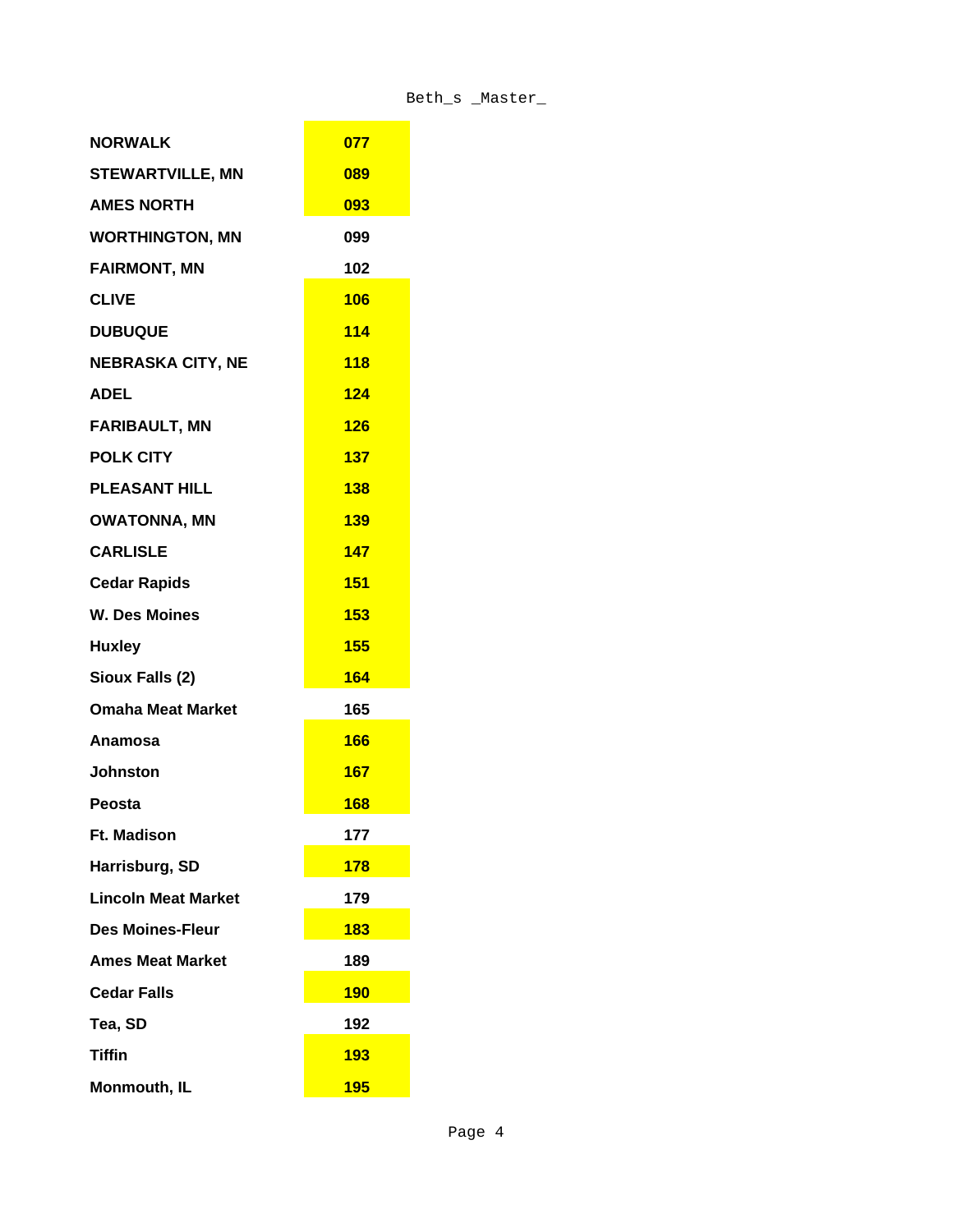| <b>NORWALK</b>             | 077        |
|----------------------------|------------|
| <b>STEWARTVILLE, MN</b>    | 089        |
| <b>AMES NORTH</b>          | 093        |
| <b>WORTHINGTON, MN</b>     | 099        |
| <b>FAIRMONT, MN</b>        | 102        |
| <b>CLIVE</b>               | <b>106</b> |
| <b>DUBUQUE</b>             | 114        |
| <b>NEBRASKA CITY, NE</b>   | <b>118</b> |
| <b>ADEL</b>                | 124        |
| <b>FARIBAULT, MN</b>       | 126        |
| <b>POLK CITY</b>           | 137        |
| <b>PLEASANT HILL</b>       | 138        |
| <b>OWATONNA, MN</b>        | 139        |
| <b>CARLISLE</b>            | 147        |
| <b>Cedar Rapids</b>        | <b>151</b> |
| <b>W. Des Moines</b>       | 153        |
| <b>Huxley</b>              | <b>155</b> |
| Sioux Falls (2)            | 164        |
| <b>Omaha Meat Market</b>   | 165        |
| Anamosa                    | 166        |
| <b>Johnston</b>            | 167        |
| Peosta                     | 168        |
| <b>Ft. Madison</b>         | 177        |
| Harrisburg, SD             | <b>178</b> |
| <b>Lincoln Meat Market</b> | 179        |
| <b>Des Moines-Fleur</b>    | <b>183</b> |
| <b>Ames Meat Market</b>    | 189        |
| <b>Cedar Falls</b>         | <b>190</b> |
| Tea, SD                    | 192        |
| <b>Tiffin</b>              | <b>193</b> |
| Monmouth, IL               | <b>195</b> |